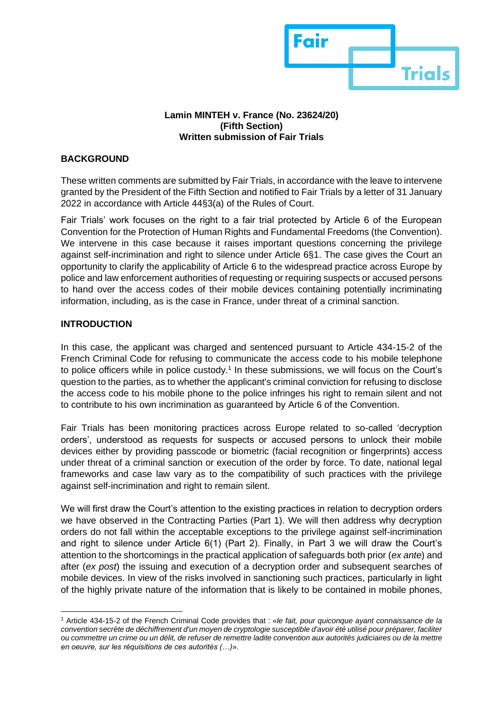

#### **Lamin MINTEH v. France (No. 23624/20) (Fifth Section) Written submission of Fair Trials**

# **BACKGROUND**

These written comments are submitted by Fair Trials, in accordance with the leave to intervene granted by the President of the Fifth Section and notified to Fair Trials by a letter of 31 January 2022 in accordance with Article 44§3(a) of the Rules of Court.

Fair Trials' work focuses on the right to a fair trial protected by Article 6 of the European Convention for the Protection of Human Rights and Fundamental Freedoms (the Convention). We intervene in this case because it raises important questions concerning the privilege against self-incrimination and right to silence under Article 6§1. The case gives the Court an opportunity to clarify the applicability of Article 6 to the widespread practice across Europe by police and law enforcement authorities of requesting or requiring suspects or accused persons to hand over the access codes of their mobile devices containing potentially incriminating information, including, as is the case in France, under threat of a criminal sanction.

### **INTRODUCTION**

In this case, the applicant was charged and sentenced pursuant to Article 434-15-2 of the French Criminal Code for refusing to communicate the access code to his mobile telephone to police officers while in police custody.<sup>1</sup> In these submissions, we will focus on the Court's question to the parties, as to whether the applicant's criminal conviction for refusing to disclose the access code to his mobile phone to the police infringes his right to remain silent and not to contribute to his own incrimination as guaranteed by Article 6 of the Convention.

Fair Trials has been monitoring practices across Europe related to so-called 'decryption orders', understood as requests for suspects or accused persons to unlock their mobile devices either by providing passcode or biometric (facial recognition or fingerprints) access under threat of a criminal sanction or execution of the order by force. To date, national legal frameworks and case law vary as to the compatibility of such practices with the privilege against self-incrimination and right to remain silent.

We will first draw the Court's attention to the existing practices in relation to decryption orders we have observed in the Contracting Parties (Part 1). We will then address why decryption orders do not fall within the acceptable exceptions to the privilege against self-incrimination and right to silence under Article 6(1) (Part 2). Finally, in Part 3 we will draw the Court's attention to the shortcomings in the practical application of safeguards both prior (*ex ante*) and after (*ex post*) the issuing and execution of a decryption order and subsequent searches of mobile devices. In view of the risks involved in sanctioning such practices, particularly in light of the highly private nature of the information that is likely to be contained in mobile phones,

<sup>1</sup> Article 434-15-2 of the French Criminal Code provides that : «*le fait, pour quiconque ayant connaissance de la convention secrète de déchiffrement d'un moyen de cryptologie susceptible d'avoir été utilisé pour préparer, faciliter ou commettre un crime ou un délit, de refuser de remettre ladite convention aux autorités judiciaires ou de la mettre en oeuvre, sur les réquisitions de ces autorités (…)*».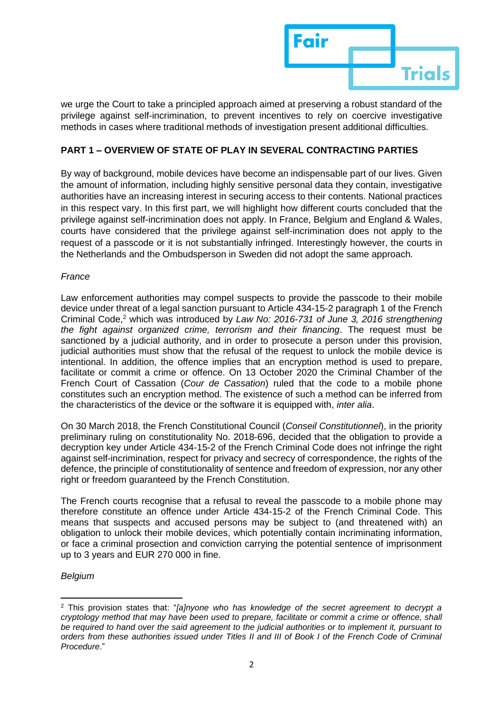

we urge the Court to take a principled approach aimed at preserving a robust standard of the privilege against self-incrimination, to prevent incentives to rely on coercive investigative methods in cases where traditional methods of investigation present additional difficulties.

# **PART 1 – OVERVIEW OF STATE OF PLAY IN SEVERAL CONTRACTING PARTIES**

By way of background, mobile devices have become an indispensable part of our lives. Given the amount of information, including highly sensitive personal data they contain, investigative authorities have an increasing interest in securing access to their contents. National practices in this respect vary. In this first part, we will highlight how different courts concluded that the privilege against self-incrimination does not apply. In France, Belgium and England & Wales, courts have considered that the privilege against self-incrimination does not apply to the request of a passcode or it is not substantially infringed. Interestingly however, the courts in the Netherlands and the Ombudsperson in Sweden did not adopt the same approach.

## *France*

Law enforcement authorities may compel suspects to provide the passcode to their mobile device under threat of a legal sanction pursuant to Article 434-15-2 paragraph 1 of the French Criminal Code,<sup>2</sup> which was introduced by *Law No: 2016-731 of June 3, 2016 strengthening the fight against organized crime, terrorism and their financing*. The request must be sanctioned by a judicial authority, and in order to prosecute a person under this provision, judicial authorities must show that the refusal of the request to unlock the mobile device is intentional. In addition, the offence implies that an encryption method is used to prepare, facilitate or commit a crime or offence. On 13 October 2020 the Criminal Chamber of the French Court of Cassation (*Cour de Cassation*) ruled that the code to a mobile phone constitutes such an encryption method. The existence of such a method can be inferred from the characteristics of the device or the software it is equipped with, *inter alia*.

On 30 March 2018, the French Constitutional Council (*Conseil Constitutionnel*), in the priority preliminary ruling on constitutionality No. 2018-696, decided that the obligation to provide a decryption key under Article 434-15-2 of the French Criminal Code does not infringe the right against self-incrimination, respect for privacy and secrecy of correspondence, the rights of the defence, the principle of constitutionality of sentence and freedom of expression, nor any other right or freedom guaranteed by the French Constitution.

The French courts recognise that a refusal to reveal the passcode to a mobile phone may therefore constitute an offence under Article 434-15-2 of the French Criminal Code. This means that suspects and accused persons may be subject to (and threatened with) an obligation to unlock their mobile devices, which potentially contain incriminating information, or face a criminal prosection and conviction carrying the potential sentence of imprisonment up to 3 years and EUR 270 000 in fine.

### *Belgium*

<sup>2</sup> This provision states that: "*[a]nyone who has knowledge of the secret agreement to decrypt a cryptology method that may have been used to prepare, facilitate or commit a crime or offence, shall be required to hand over the said agreement to the judicial authorities or to implement it, pursuant to orders from these authorities issued under Titles II and III of Book I of the French Code of Criminal Procedure*."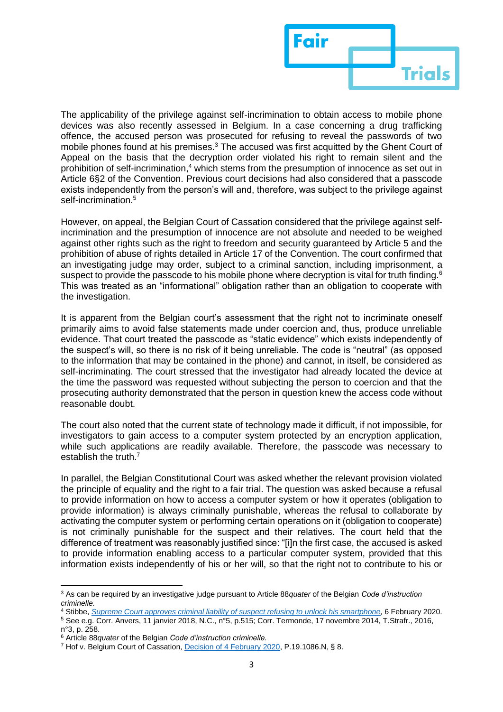

The applicability of the privilege against self-incrimination to obtain access to mobile phone devices was also recently assessed in Belgium. In a case concerning a drug trafficking offence, the accused person was prosecuted for refusing to reveal the passwords of two mobile phones found at his premises.<sup>3</sup> The accused was first acquitted by the Ghent Court of Appeal on the basis that the decryption order violated his right to remain silent and the prohibition of self-incrimination,<sup>4</sup> which stems from the presumption of innocence as set out in Article 6§2 of the Convention. Previous court decisions had also considered that a passcode exists independently from the person's will and, therefore, was subject to the privilege against self-incrimination.<sup>5</sup>

However, on appeal, the Belgian Court of Cassation considered that the privilege against selfincrimination and the presumption of innocence are not absolute and needed to be weighed against other rights such as the right to freedom and security guaranteed by Article 5 and the prohibition of abuse of rights detailed in Article 17 of the Convention. The court confirmed that an investigating judge may order, subject to a criminal sanction, including imprisonment, a suspect to provide the passcode to his mobile phone where decryption is vital for truth finding. $^{\rm 6}$ This was treated as an "informational" obligation rather than an obligation to cooperate with the investigation.

It is apparent from the Belgian court's assessment that the right not to incriminate oneself primarily aims to avoid false statements made under coercion and, thus, produce unreliable evidence. That court treated the passcode as "static evidence" which exists independently of the suspect's will, so there is no risk of it being unreliable. The code is "neutral" (as opposed to the information that may be contained in the phone) and cannot, in itself, be considered as self-incriminating. The court stressed that the investigator had already located the device at the time the password was requested without subjecting the person to coercion and that the prosecuting authority demonstrated that the person in question knew the access code without reasonable doubt.

The court also noted that the current state of technology made it difficult, if not impossible, for investigators to gain access to a computer system protected by an encryption application, while such applications are readily available. Therefore, the passcode was necessary to establish the truth.<sup>7</sup>

In parallel, the Belgian Constitutional Court was asked whether the relevant provision violated the principle of equality and the right to a fair trial. The question was asked because a refusal to provide information on how to access a computer system or how it operates (obligation to provide information) is always criminally punishable, whereas the refusal to collaborate by activating the computer system or performing certain operations on it (obligation to cooperate) is not criminally punishable for the suspect and their relatives. The court held that the difference of treatment was reasonably justified since: "[i]n the first case, the accused is asked to provide information enabling access to a particular computer system, provided that this information exists independently of his or her will, so that the right not to contribute to his or

<sup>3</sup> As can be required by an investigative judge pursuant to Article 88*quater* of the Belgian *Code d'instruction criminelle.*

<sup>4</sup> Stibbe, *[Supreme Court approves criminal liability of suspect refusing to](https://www.stibbe.com/en/news/2020/february/supreme-court-approves-criminal-liability-of-suspect-refusing-to-unlock-his-smartphone?jurisdiction=e399c8f019ce4bd3bf0e10d9bcd37a12) unlock his smartphone,* 6 February 2020.

<sup>5</sup> See e.g. Corr. Anvers, 11 janvier 2018, N.C., n°5, p.515; Corr. Termonde, 17 novembre 2014, T.Strafr., 2016, n°3, p. 258.

<sup>6</sup> Article 88*quater* of the Belgian *Code d'instruction criminelle.*

<sup>7</sup> Hof v. Belgium Court of Cassation[, Decision of 4 February 2020,](https://justitie.belgium.be/sites/default/files/toegangscodegsm.pdf) P.19.1086.N, § 8.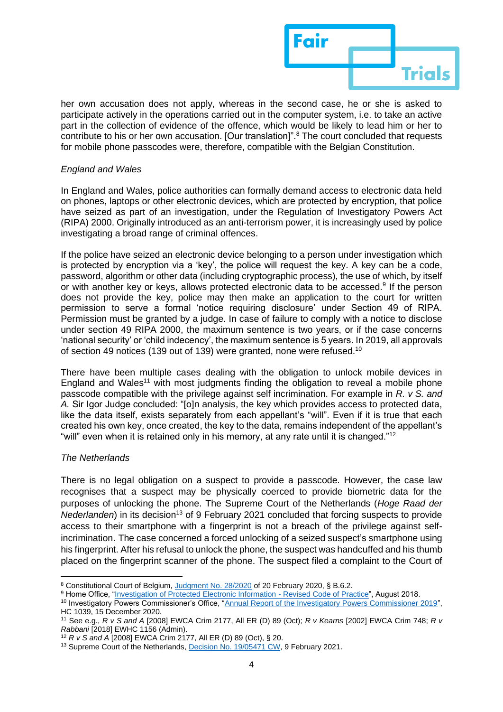

her own accusation does not apply, whereas in the second case, he or she is asked to participate actively in the operations carried out in the computer system, i.e. to take an active part in the collection of evidence of the offence, which would be likely to lead him or her to contribute to his or her own accusation. [Our translation]".<sup>8</sup> The court concluded that requests for mobile phone passcodes were, therefore, compatible with the Belgian Constitution.

## *England and Wales*

In England and Wales, police authorities can formally demand access to electronic data held on phones, laptops or other electronic devices, which are protected by encryption, that police have seized as part of an investigation, under the Regulation of Investigatory Powers Act (RIPA) 2000. Originally introduced as an anti-terrorism power, it is increasingly used by police investigating a broad range of criminal offences.

If the police have seized an electronic device belonging to a person under investigation which is protected by encryption via a 'key', the police will request the key. A key can be a code, password, algorithm or other data (including cryptographic process), the use of which, by itself or with another key or keys, allows protected electronic data to be accessed.<sup>9</sup> If the person does not provide the key, police may then make an application to the court for written permission to serve a formal 'notice requiring disclosure' under Section 49 of RIPA. Permission must be granted by a judge. In case of failure to comply with a notice to disclose under section 49 RIPA 2000, the maximum sentence is two years, or if the case concerns 'national security' or 'child indecency', the maximum sentence is 5 years. In 2019, all approvals of section 49 notices (139 out of 139) were granted, none were refused.<sup>10</sup>

There have been multiple cases dealing with the obligation to unlock mobile devices in England and Wales<sup>11</sup> with most judgments finding the obligation to reveal a mobile phone passcode compatible with the privilege against self incrimination. For example in *R. v S. and A.* Sir Igor Judge concluded: "[o]n analysis, the key which provides access to protected data, like the data itself, exists separately from each appellant's "will". Even if it is true that each created his own key, once created, the key to the data, remains independent of the appellant's "will" even when it is retained only in his memory, at any rate until it is changed."<sup>12</sup>

### *The Netherlands*

There is no legal obligation on a suspect to provide a passcode. However, the case law recognises that a suspect may be physically coerced to provide biometric data for the purposes of unlocking the phone. The Supreme Court of the Netherlands (*Hoge Raad der Nederlanden*) in its decision<sup>13</sup> of 9 February 2021 concluded that forcing suspects to provide access to their smartphone with a fingerprint is not a breach of the privilege against selfincrimination. The case concerned a forced unlocking of a seized suspect's smartphone using his fingerprint. After his refusal to unlock the phone, the suspect was handcuffed and his thumb placed on the fingerprint scanner of the phone. The suspect filed a complaint to the Court of

<sup>8</sup> Constitutional Court of Belgium, [Judgment No. 28/2020](https://www.const-court.be/public/f/2020/2020-028f.pdf) of 20 February 2020, § B.6.2.

<sup>&</sup>lt;sup>9</sup> Home Office, ["Investigation of Protected Electronic Information -](https://assets.publishing.service.gov.uk/government/uploads/system/uploads/attachment_data/file/742064/RIPA_Part_III_Code_of_Practice.pdf) Revised Code of Practice", August 2018.

<sup>&</sup>lt;sup>10</sup> Investigatory Powers Commissioner's Office, ["Annual Report of the Investigatory Powers Commissioner 2019"](https://ipco-wpmedia-prod-s3.s3.eu-west-2.amazonaws.com/IPC-Annual-Report-2019_Web-Accessible-version_final.pdf), HC 1039, 15 December 2020.

<sup>11</sup> See e.g., *R v S and A* [2008] EWCA Crim 2177, All ER (D) 89 (Oct); *R v Kearns* [2002] EWCA Crim 748; *R v Rabbani* [2018] EWHC 1156 (Admin).

<sup>12</sup> *R v S and A* [2008] EWCA Crim 2177, All ER (D) 89 (Oct), § 20.

<sup>&</sup>lt;sup>13</sup> Supreme Court of the Netherlands, [Decision No. 19/05471 CW,](https://uitspraken.rechtspraak.nl/inziendocument?id=ECLI:NL:HR:2021:202) 9 February 2021.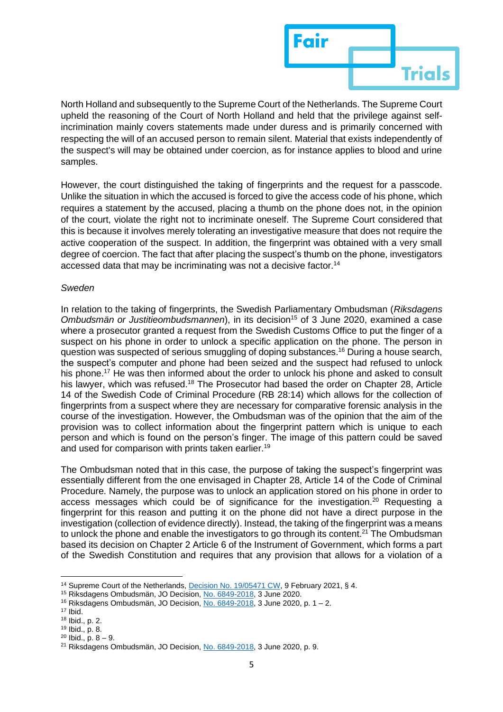

North Holland and subsequently to the Supreme Court of the Netherlands. The Supreme Court upheld the reasoning of the Court of North Holland and held that the privilege against selfincrimination mainly covers statements made under duress and is primarily concerned with respecting the will of an accused person to remain silent. Material that exists independently of the suspect's will may be obtained under coercion, as for instance applies to blood and urine samples.

However, the court distinguished the taking of fingerprints and the request for a passcode. Unlike the situation in which the accused is forced to give the access code of his phone, which requires a statement by the accused, placing a thumb on the phone does not, in the opinion of the court, violate the right not to incriminate oneself. The Supreme Court considered that this is because it involves merely tolerating an investigative measure that does not require the active cooperation of the suspect. In addition, the fingerprint was obtained with a very small degree of coercion. The fact that after placing the suspect's thumb on the phone, investigators accessed data that may be incriminating was not a decisive factor.<sup>14</sup>

### *Sweden*

In relation to the taking of fingerprints, the Swedish Parliamentary Ombudsman (*Riksdagens Ombudsmän or Justitieombudsmannen*), in its decision<sup>15</sup> of 3 June 2020, examined a case where a prosecutor granted a request from the Swedish Customs Office to put the finger of a suspect on his phone in order to unlock a specific application on the phone. The person in question was suspected of serious smuggling of doping substances. <sup>16</sup> During a house search, the suspect's computer and phone had been seized and the suspect had refused to unlock his phone. <sup>17</sup> He was then informed about the order to unlock his phone and asked to consult his lawyer, which was refused.<sup>18</sup> The Prosecutor had based the order on Chapter 28, Article 14 of the Swedish Code of Criminal Procedure (RB 28:14) which allows for the collection of fingerprints from a suspect where they are necessary for comparative forensic analysis in the course of the investigation. However, the Ombudsman was of the opinion that the aim of the provision was to collect information about the fingerprint pattern which is unique to each person and which is found on the person's finger. The image of this pattern could be saved and used for comparison with prints taken earlier.<sup>19</sup>

The Ombudsman noted that in this case, the purpose of taking the suspect's fingerprint was essentially different from the one envisaged in Chapter 28, Article 14 of the Code of Criminal Procedure. Namely, the purpose was to unlock an application stored on his phone in order to access messages which could be of significance for the investigation.<sup>20</sup> Requesting a fingerprint for this reason and putting it on the phone did not have a direct purpose in the investigation (collection of evidence directly). Instead, the taking of the fingerprint was a means to unlock the phone and enable the investigators to go through its content.<sup>21</sup> The Ombudsman based its decision on Chapter 2 Article 6 of the Instrument of Government, which forms a part of the Swedish Constitution and requires that any provision that allows for a violation of a

<sup>&</sup>lt;sup>14</sup> Supreme Court of the Netherlands, [Decision No. 19/05471 CW,](https://uitspraken.rechtspraak.nl/inziendocument?id=ECLI:NL:HR:2021:202) 9 February 2021, § 4.

<sup>&</sup>lt;sup>15</sup> Riksdagens Ombudsmän, JO Decision[, No. 6849-2018,](https://www.jo.se/PageFiles/15390/6849-2018.pdf) 3 June 2020.

<sup>&</sup>lt;sup>16</sup> Riksdagens Ombudsmän, JO Decision[, No. 6849-2018,](https://www.jo.se/PageFiles/15390/6849-2018.pdf) 3 June 2020, p. 1 – 2.

<sup>17</sup> Ibid.

<sup>18</sup> Ibid., p. 2.

<sup>19</sup> Ibid., p. 8.

 $20$  Ibid., p.  $8 - 9$ .

<sup>&</sup>lt;sup>21</sup> Riksdagens Ombudsmän, JO Decision[, No. 6849-2018,](https://www.jo.se/PageFiles/15390/6849-2018.pdf) 3 June 2020, p. 9.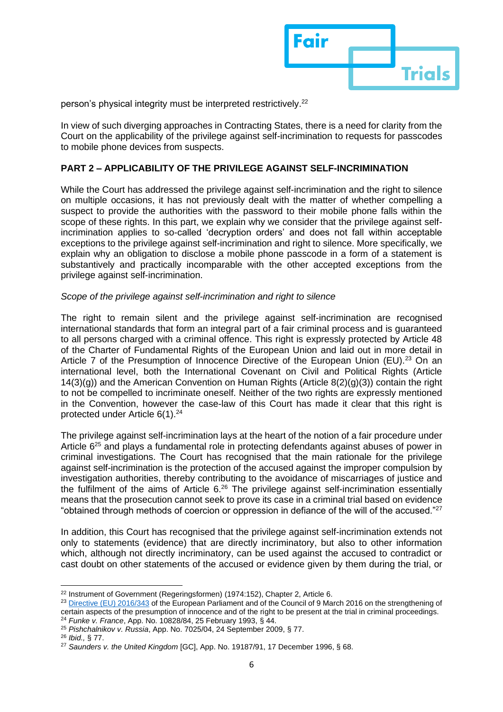

person's physical integrity must be interpreted restrictively.<sup>22</sup>

In view of such diverging approaches in Contracting States, there is a need for clarity from the Court on the applicability of the privilege against self-incrimination to requests for passcodes to mobile phone devices from suspects.

## **PART 2 – APPLICABILITY OF THE PRIVILEGE AGAINST SELF-INCRIMINATION**

While the Court has addressed the privilege against self-incrimination and the right to silence on multiple occasions, it has not previously dealt with the matter of whether compelling a suspect to provide the authorities with the password to their mobile phone falls within the scope of these rights. In this part, we explain why we consider that the privilege against selfincrimination applies to so-called 'decryption orders' and does not fall within acceptable exceptions to the privilege against self-incrimination and right to silence. More specifically, we explain why an obligation to disclose a mobile phone passcode in a form of a statement is substantively and practically incomparable with the other accepted exceptions from the privilege against self-incrimination.

### *Scope of the privilege against self-incrimination and right to silence*

The right to remain silent and the privilege against self-incrimination are recognised international standards that form an integral part of a fair criminal process and is guaranteed to all persons charged with a criminal offence. This right is expressly protected by Article 48 of the Charter of Fundamental Rights of the European Union and laid out in more detail in Article 7 of the Presumption of Innocence Directive of the European Union (EU).<sup>23</sup> On an international level, both the International Covenant on Civil and Political Rights (Article 14(3)(g)) and the American Convention on Human Rights (Article 8(2)(g)(3)) contain the right to not be compelled to incriminate oneself. Neither of the two rights are expressly mentioned in the Convention, however the case-law of this Court has made it clear that this right is protected under Article 6(1).<sup>24</sup>

The privilege against self-incrimination lays at the heart of the notion of a fair procedure under Article  $6^{25}$  and plays a fundamental role in protecting defendants against abuses of power in criminal investigations. The Court has recognised that the main rationale for the privilege against self-incrimination is the protection of the accused against the improper compulsion by investigation authorities, thereby contributing to the avoidance of miscarriages of justice and the fulfilment of the aims of Article 6.<sup>26</sup> The privilege against self-incrimination essentially means that the prosecution cannot seek to prove its case in a criminal trial based on evidence "obtained through methods of coercion or oppression in defiance of the will of the accused."<sup>27</sup>

In addition, this Court has recognised that the privilege against self-incrimination extends not only to statements (evidence) that are directly incriminatory, but also to other information which, although not directly incriminatory, can be used against the accused to contradict or cast doubt on other statements of the accused or evidence given by them during the trial, or

<sup>&</sup>lt;sup>22</sup> Instrument of Government (Regeringsformen) (1974:152), Chapter 2, Article 6.

<sup>&</sup>lt;sup>23</sup> [Directive \(EU\) 2016/343](https://eur-lex.europa.eu/legal-content/EN/TXT/?uri=CELEX%3A32016L0343) of the European Parliament and of the Council of 9 March 2016 on the strengthening of certain aspects of the presumption of innocence and of the right to be present at the trial in criminal proceedings. <sup>24</sup> *Funke v. France*, App. No. 10828/84, 25 February 1993, § 44.

<sup>25</sup> *Pishchalnikov v. Russia*, App. No. 7025/04, 24 September 2009, § 77.

<sup>26</sup> *Ibid.,* § 77.

<sup>27</sup> *Saunders v. the United Kingdom* [GC], App. No. 19187/91, 17 December 1996, § 68.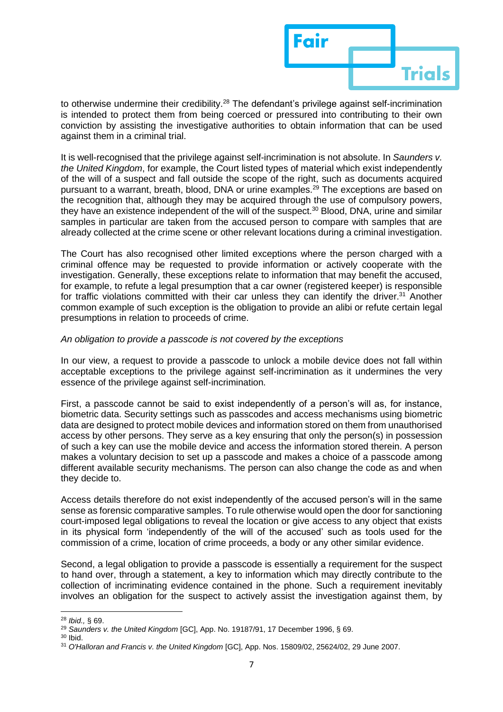

to otherwise undermine their credibility.<sup>28</sup> The defendant's privilege against self-incrimination is intended to protect them from being coerced or pressured into contributing to their own conviction by assisting the investigative authorities to obtain information that can be used against them in a criminal trial.

It is well-recognised that the privilege against self-incrimination is not absolute. In *Saunders v. the United Kingdom*, for example, the Court listed types of material which exist independently of the will of a suspect and fall outside the scope of the right, such as documents acquired pursuant to a warrant, breath, blood, DNA or urine examples.<sup>29</sup> The exceptions are based on the recognition that, although they may be acquired through the use of compulsory powers, they have an existence independent of the will of the suspect.<sup>30</sup> Blood, DNA, urine and similar samples in particular are taken from the accused person to compare with samples that are already collected at the crime scene or other relevant locations during a criminal investigation.

The Court has also recognised other limited exceptions where the person charged with a criminal offence may be requested to provide information or actively cooperate with the investigation. Generally, these exceptions relate to information that may benefit the accused, for example, to refute a legal presumption that a car owner (registered keeper) is responsible for traffic violations committed with their car unless they can identify the driver.<sup>31</sup> Another common example of such exception is the obligation to provide an alibi or refute certain legal presumptions in relation to proceeds of crime.

### *An obligation to provide a passcode is not covered by the exceptions*

In our view, a request to provide a passcode to unlock a mobile device does not fall within acceptable exceptions to the privilege against self-incrimination as it undermines the very essence of the privilege against self-incrimination.

First, a passcode cannot be said to exist independently of a person's will as, for instance, biometric data. Security settings such as passcodes and access mechanisms using biometric data are designed to protect mobile devices and information stored on them from unauthorised access by other persons. They serve as a key ensuring that only the person(s) in possession of such a key can use the mobile device and access the information stored therein. A person makes a voluntary decision to set up a passcode and makes a choice of a passcode among different available security mechanisms. The person can also change the code as and when they decide to.

Access details therefore do not exist independently of the accused person's will in the same sense as forensic comparative samples. To rule otherwise would open the door for sanctioning court-imposed legal obligations to reveal the location or give access to any object that exists in its physical form 'independently of the will of the accused' such as tools used for the commission of a crime, location of crime proceeds, a body or any other similar evidence.

Second, a legal obligation to provide a passcode is essentially a requirement for the suspect to hand over, through a statement, a key to information which may directly contribute to the collection of incriminating evidence contained in the phone. Such a requirement inevitably involves an obligation for the suspect to actively assist the investigation against them, by

<sup>28</sup> *Ibid.,* § 69.

<sup>29</sup> *Saunders v. the United Kingdom* [GC], App. No. 19187/91, 17 December 1996, § 69.

<sup>30</sup> Ibid.

<sup>31</sup> *O'Halloran and Francis v. the United Kingdom* [GC], App. Nos. 15809/02, 25624/02, 29 June 2007.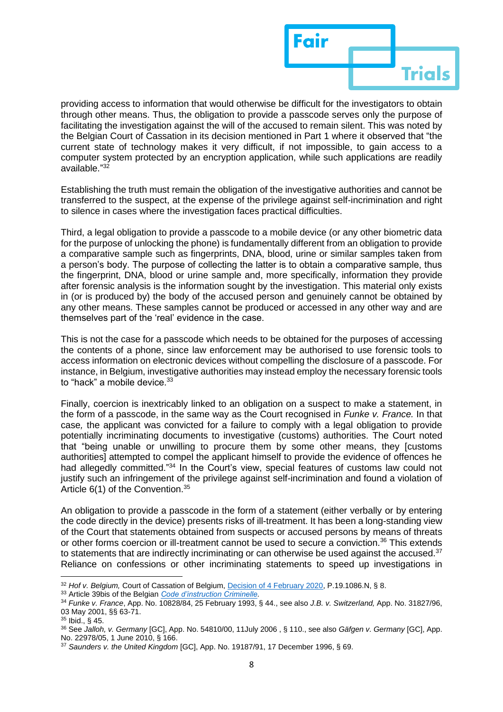

providing access to information that would otherwise be difficult for the investigators to obtain through other means. Thus, the obligation to provide a passcode serves only the purpose of facilitating the investigation against the will of the accused to remain silent. This was noted by the Belgian Court of Cassation in its decision mentioned in Part 1 where it observed that "the current state of technology makes it very difficult, if not impossible, to gain access to a computer system protected by an encryption application, while such applications are readily available." 32

Establishing the truth must remain the obligation of the investigative authorities and cannot be transferred to the suspect, at the expense of the privilege against self-incrimination and right to silence in cases where the investigation faces practical difficulties.

Third, a legal obligation to provide a passcode to a mobile device (or any other biometric data for the purpose of unlocking the phone) is fundamentally different from an obligation to provide a comparative sample such as fingerprints, DNA, blood, urine or similar samples taken from a person's body. The purpose of collecting the latter is to obtain a comparative sample, thus the fingerprint, DNA, blood or urine sample and, more specifically, information they provide after forensic analysis is the information sought by the investigation. This material only exists in (or is produced by) the body of the accused person and genuinely cannot be obtained by any other means. These samples cannot be produced or accessed in any other way and are themselves part of the 'real' evidence in the case.

This is not the case for a passcode which needs to be obtained for the purposes of accessing the contents of a phone, since law enforcement may be authorised to use forensic tools to access information on electronic devices without compelling the disclosure of a passcode. For instance, in Belgium, investigative authorities may instead employ the necessary forensic tools to "hack" a mobile device.<sup>33</sup>

Finally, coercion is inextricably linked to an obligation on a suspect to make a statement, in the form of a passcode, in the same way as the Court recognised in *Funke v. France.* In that case*,* the applicant was convicted for a failure to comply with a legal obligation to provide potentially incriminating documents to investigative (customs) authorities. The Court noted that "being unable or unwilling to procure them by some other means, they [customs authorities] attempted to compel the applicant himself to provide the evidence of offences he had allegedly committed."<sup>34</sup> In the Court's view, special features of customs law could not justify such an infringement of the privilege against self-incrimination and found a violation of Article 6(1) of the Convention.<sup>35</sup>

An obligation to provide a passcode in the form of a statement (either verbally or by entering the code directly in the device) presents risks of ill-treatment. It has been a long-standing view of the Court that statements obtained from suspects or accused persons by means of threats or other forms coercion or ill-treatment cannot be used to secure a conviction.<sup>36</sup> This extends to statements that are indirectly incriminating or can otherwise be used against the accused.<sup>37</sup> Reliance on confessions or other incriminating statements to speed up investigations in

<sup>&</sup>lt;sup>32</sup> Hof v. Belgium, Court of Cassation of Belgium, [Decision of 4 February 2020,](https://justitie.belgium.be/sites/default/files/toegangscodegsm.pdf) P.19.1086.N, § 8.

<sup>33</sup> Article 39bis of the Belgian *[Code d'instruction Criminelle.](http://www.ejustice.just.fgov.be/eli/loi/1808/11/17/1808111701/justel)*

<sup>34</sup> *Funke v. France*, App. No. 10828/84, 25 February 1993, § 44., see also *J.B. v. Switzerland,* App. No. 31827/96, 03 May 2001, §§ 63-71.

<sup>35</sup> Ibid., § 45.

<sup>36</sup> See *Jalloh, v. Germany* [GC], App. No. 54810/00, 11July 2006 , § 110., see also *Gäfgen v. Germany* [GC], App. No. 22978/05, 1 June 2010, § 166.

<sup>37</sup> *Saunders v. the United Kingdom* [GC], App. No. 19187/91, 17 December 1996, § 69.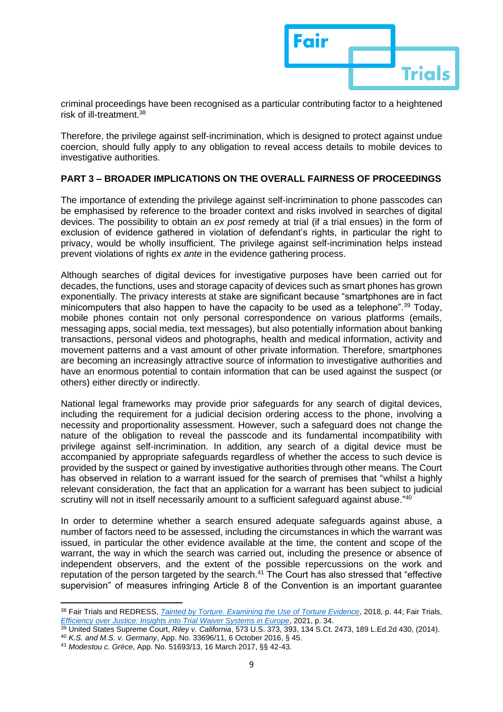

criminal proceedings have been recognised as a particular contributing factor to a heightened risk of ill-treatment.<sup>38</sup>

Therefore, the privilege against self-incrimination, which is designed to protect against undue coercion, should fully apply to any obligation to reveal access details to mobile devices to investigative authorities.

## **PART 3 – BROADER IMPLICATIONS ON THE OVERALL FAIRNESS OF PROCEEDINGS**

The importance of extending the privilege against self-incrimination to phone passcodes can be emphasised by reference to the broader context and risks involved in searches of digital devices. The possibility to obtain an *ex post* remedy at trial (if a trial ensues) in the form of exclusion of evidence gathered in violation of defendant's rights, in particular the right to privacy, would be wholly insufficient. The privilege against self-incrimination helps instead prevent violations of rights *ex ante* in the evidence gathering process.

Although searches of digital devices for investigative purposes have been carried out for decades, the functions, uses and storage capacity of devices such as smart phones has grown exponentially. The privacy interests at stake are significant because "smartphones are in fact minicomputers that also happen to have the capacity to be used as a telephone".<sup>39</sup> Today, mobile phones contain not only personal correspondence on various platforms (emails, messaging apps, social media, text messages), but also potentially information about banking transactions, personal videos and photographs, health and medical information, activity and movement patterns and a vast amount of other private information. Therefore, smartphones are becoming an increasingly attractive source of information to investigative authorities and have an enormous potential to contain information that can be used against the suspect (or others) either directly or indirectly.

National legal frameworks may provide prior safeguards for any search of digital devices, including the requirement for a judicial decision ordering access to the phone, involving a necessity and proportionality assessment. However, such a safeguard does not change the nature of the obligation to reveal the passcode and its fundamental incompatibility with privilege against self-incrimination. In addition, any search of a digital device must be accompanied by appropriate safeguards regardless of whether the access to such device is provided by the suspect or gained by investigative authorities through other means. The Court has observed in relation to a warrant issued for the search of premises that "whilst a highly relevant consideration, the fact that an application for a warrant has been subject to judicial scrutiny will not in itself necessarily amount to a sufficient safeguard against abuse."40

In order to determine whether a search ensured adequate safeguards against abuse, a number of factors need to be assessed, including the circumstances in which the warrant was issued, in particular the other evidence available at the time, the content and scope of the warrant, the way in which the search was carried out, including the presence or absence of independent observers, and the extent of the possible repercussions on the work and reputation of the person targeted by the search. <sup>41</sup> The Court has also stressed that "effective supervision" of measures infringing Article 8 of the Convention is an important guarantee

<sup>38</sup> Fair Trials and REDRESS, *[Tainted by Torture. Examining the Use of Torture Evidence](https://www.fairtrials.org/app/uploads/2022/01/Tainted-by-Torture-Examining-the-Use-of-Evidence-Obtained-by-Torture.pdf)*, 2018, p. 44; Fair Trials, *[Efficiency over Justice: Insights into Trial Waiver Systems in Europe](https://www.fairtrials.org/app/uploads/2022/01/TWSE-report.pdf)*, 2021, p. 34.

<sup>39</sup> United States Supreme Court, *Riley v. California*, 573 U.S. 373, 393, 134 S.Ct. 2473, 189 L.Ed.2d 430, (2014). <sup>40</sup> *K.S. and M.S. v. Germany*, App. No. 33696/11, 6 October 2016, § 45.

<sup>41</sup> *Modestou c. Grèce*, App. No. 51693/13, 16 March 2017, §§ 42-43.